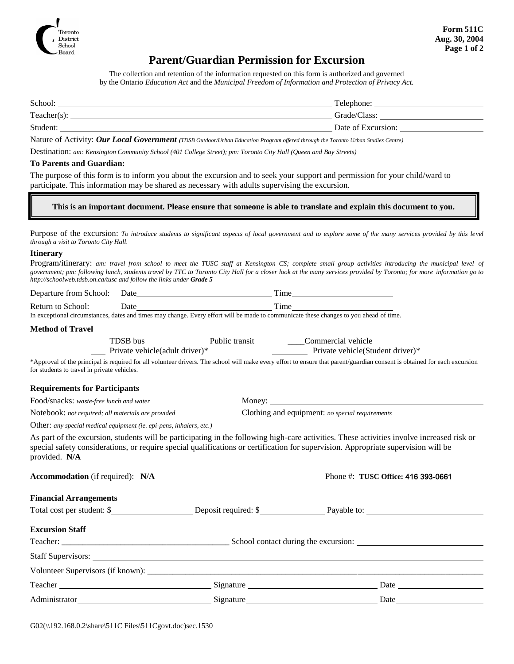

### **Parent/Guardian Permission for Excursion**

The collection and retention of the information requested on this form is authorized and governed by the Ontario *Education Act* and the *Municipal Freedom of Information and Protection of Privacy Act.*

| School:        | Telephone:         |
|----------------|--------------------|
| $Teacher(s)$ : | Grade/Class:       |
| Student:       | Date of Excursion: |

Nature of Activity: *Our Local Government (TDSB Outdoor/Urban Education Program offered through the Toronto Urban Studies Centre)*

Destination: *am: Kensington Community School (401 College Street); pm: Toronto City Hall (Queen and Bay Streets)*

#### **To Parents and Guardian:**

The purpose of this form is to inform you about the excursion and to seek your support and permission for your child/ward to participate. This information may be shared as necessary with adults supervising the excursion.

#### **This is an important document. Please ensure that someone is able to translate and explain this document to you.**

Purpose of the excursion: *To introduce students to significant aspects of local government and to explore some of the many services provided by this level through a visit to Toronto City Hall.*

#### **Itinerary**

Program/itinerary: *am: travel from school to meet the TUSC staff at Kensington CS; complete small group activities introducing the municipal level of government; pm: following lunch, students travel by TTC to Toronto City Hall for a closer look at the many services provided by Toronto; for more information go to http://schoolweb.tdsb.on.ca/tusc and follow the links under Grade 5*

| Departure from School: | ⊅ate | 1 ime |
|------------------------|------|-------|
| .                      |      |       |
|                        |      |       |

Return to School: Date Time In exceptional circumstances, dates and times may change. Every effort will be made to communicate these changes to you ahead of time.

#### **Method of Travel**

| TDSB bus                       | Public transit | Commercial vehicle               |
|--------------------------------|----------------|----------------------------------|
| Private vehicle(adult driver)* |                | Private vehicle(Student driver)* |

\*Approval of the principal is required for all volunteer drivers. The school will make every effort to ensure that parent/guardian consent is obtained for each excursion for students to travel in private vehicles.

#### **Requirements for Participants**

**Financial Arrangements**

Food/snacks: *waste-free lunch and water* Money:

Notebook: *not required; all materials are provided* Clothing and equipment: *no special requirements*

Other: *any special medical equipment (ie. epi-pens, inhalers, etc.)*

As part of the excursion, students will be participating in the following high-care activities. These activities involve increased risk or special safety considerations, or require special qualifications or certification for supervision. Appropriate supervision will be provided. **N/A**

**Accommodation** (if required): **N/A** Phone #: **TUSC Office:** 416 393-0661

|                        |           | Total cost per student: \$           |  |
|------------------------|-----------|--------------------------------------|--|
| <b>Excursion Staff</b> |           |                                      |  |
|                        |           | School contact during the excursion: |  |
| Staff Supervisors:     |           |                                      |  |
|                        |           |                                      |  |
|                        | Signature |                                      |  |
| Administrator_         |           | Date_                                |  |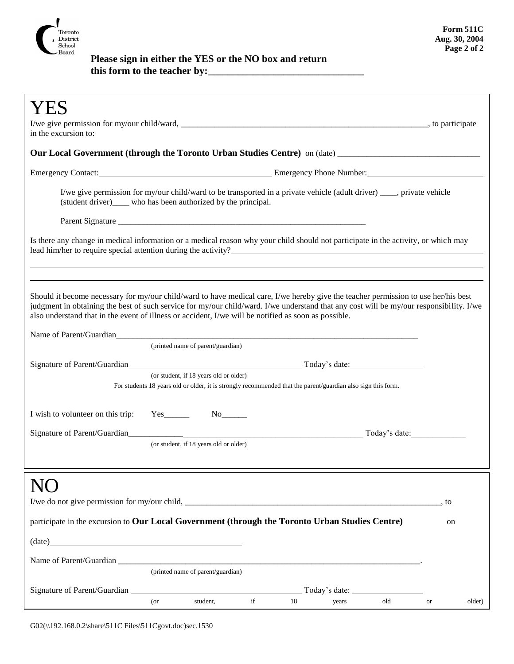

## **Please sign in either the YES or the NO box and return this form to the teacher by:\_\_\_\_\_\_\_\_\_\_\_\_\_\_\_\_\_\_\_\_\_\_\_\_\_\_\_\_\_\_\_**

| in the excursion to:                                                                                                                                                                                                                                                                                                                                                                  |                                                                                                                                                                                                                                |                                                                                                                        |                     |  |
|---------------------------------------------------------------------------------------------------------------------------------------------------------------------------------------------------------------------------------------------------------------------------------------------------------------------------------------------------------------------------------------|--------------------------------------------------------------------------------------------------------------------------------------------------------------------------------------------------------------------------------|------------------------------------------------------------------------------------------------------------------------|---------------------|--|
|                                                                                                                                                                                                                                                                                                                                                                                       |                                                                                                                                                                                                                                | Our Local Government (through the Toronto Urban Studies Centre) on (date) __________________________                   |                     |  |
|                                                                                                                                                                                                                                                                                                                                                                                       |                                                                                                                                                                                                                                | Emergency Contact: <u>Contact: Emergency Phone Number:</u> Emergency Phone Number:                                     |                     |  |
|                                                                                                                                                                                                                                                                                                                                                                                       | (student driver)____ who has been authorized by the principal.                                                                                                                                                                 | I/we give permission for my/our child/ward to be transported in a private vehicle (adult driver) ____, private vehicle |                     |  |
|                                                                                                                                                                                                                                                                                                                                                                                       |                                                                                                                                                                                                                                |                                                                                                                        |                     |  |
|                                                                                                                                                                                                                                                                                                                                                                                       | Is there any change in medical information or a medical reason why your child should not participate in the activity, or which may                                                                                             |                                                                                                                        |                     |  |
|                                                                                                                                                                                                                                                                                                                                                                                       |                                                                                                                                                                                                                                |                                                                                                                        |                     |  |
| Should it become necessary for my/our child/ward to have medical care, I/we hereby give the teacher permission to use her/his best<br>judgment in obtaining the best of such service for my/our child/ward. I/we understand that any cost will be my/our responsibility. I/we<br>also understand that in the event of illness or accident, I/we will be notified as soon as possible. |                                                                                                                                                                                                                                |                                                                                                                        |                     |  |
|                                                                                                                                                                                                                                                                                                                                                                                       | Name of Parent/Guardian experience of the contract of the contract of the contract of the contract of the contract of the contract of the contract of the contract of the contract of the contract of the contract of the cont |                                                                                                                        |                     |  |
|                                                                                                                                                                                                                                                                                                                                                                                       | (printed name of parent/guardian)                                                                                                                                                                                              |                                                                                                                        |                     |  |
|                                                                                                                                                                                                                                                                                                                                                                                       | (or student, if 18 years old or older)                                                                                                                                                                                         |                                                                                                                        |                     |  |
|                                                                                                                                                                                                                                                                                                                                                                                       | For students 18 years old or older, it is strongly recommended that the parent/guardian also sign this form.                                                                                                                   |                                                                                                                        |                     |  |
| I wish to volunteer on this trip:                                                                                                                                                                                                                                                                                                                                                     | $Yes$ <sub>__________</sub>                                                                                                                                                                                                    |                                                                                                                        |                     |  |
|                                                                                                                                                                                                                                                                                                                                                                                       |                                                                                                                                                                                                                                | Today's date:                                                                                                          |                     |  |
|                                                                                                                                                                                                                                                                                                                                                                                       | (or student, if 18 years old or older)                                                                                                                                                                                         |                                                                                                                        |                     |  |
|                                                                                                                                                                                                                                                                                                                                                                                       |                                                                                                                                                                                                                                |                                                                                                                        |                     |  |
|                                                                                                                                                                                                                                                                                                                                                                                       |                                                                                                                                                                                                                                |                                                                                                                        |                     |  |
|                                                                                                                                                                                                                                                                                                                                                                                       |                                                                                                                                                                                                                                |                                                                                                                        | , to                |  |
|                                                                                                                                                                                                                                                                                                                                                                                       | participate in the excursion to Our Local Government (through the Toronto Urban Studies Centre)                                                                                                                                |                                                                                                                        | on                  |  |
| (data)                                                                                                                                                                                                                                                                                                                                                                                |                                                                                                                                                                                                                                |                                                                                                                        |                     |  |
|                                                                                                                                                                                                                                                                                                                                                                                       |                                                                                                                                                                                                                                |                                                                                                                        |                     |  |
|                                                                                                                                                                                                                                                                                                                                                                                       | (printed name of parent/guardian)                                                                                                                                                                                              |                                                                                                                        |                     |  |
|                                                                                                                                                                                                                                                                                                                                                                                       |                                                                                                                                                                                                                                |                                                                                                                        |                     |  |
|                                                                                                                                                                                                                                                                                                                                                                                       | $\operatorname{if}$<br>student,<br>$($ or                                                                                                                                                                                      | old<br>18<br>years                                                                                                     | older)<br><b>or</b> |  |